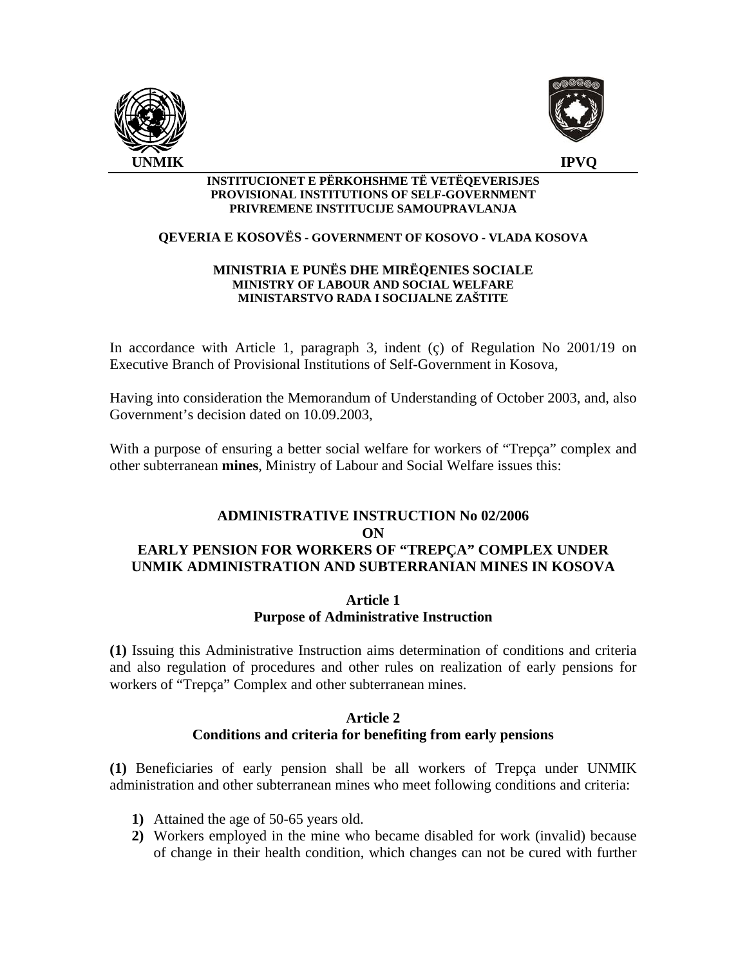



#### **INSTITUCIONET E PËRKOHSHME TË VETËQEVERISJES PROVISIONAL INSTITUTIONS OF SELF-GOVERNMENT PRIVREMENE INSTITUCIJE SAMOUPRAVLANJA**

## **QEVERIA E KOSOVËS - GOVERNMENT OF KOSOVO - VLADA KOSOVA**

#### **MINISTRIA E PUNËS DHE MIRËQENIES SOCIALE MINISTRY OF LABOUR AND SOCIAL WELFARE MINISTARSTVO RADA I SOCIJALNE ZAŠTITE**

In accordance with Article 1, paragraph 3, indent (ç) of Regulation No 2001/19 on Executive Branch of Provisional Institutions of Self-Government in Kosova,

Having into consideration the Memorandum of Understanding of October 2003, and, also Government's decision dated on 10.09.2003,

With a purpose of ensuring a better social welfare for workers of "Trepça" complex and other subterranean **mines**, Ministry of Labour and Social Welfare issues this:

# **ADMINISTRATIVE INSTRUCTION No 02/2006 ON EARLY PENSION FOR WORKERS OF "TREPÇA" COMPLEX UNDER UNMIK ADMINISTRATION AND SUBTERRANIAN MINES IN KOSOVA**

## **Article 1 Purpose of Administrative Instruction**

**(1)** Issuing this Administrative Instruction aims determination of conditions and criteria and also regulation of procedures and other rules on realization of early pensions for workers of "Trepça" Complex and other subterranean mines.

## **Article 2 Conditions and criteria for benefiting from early pensions**

**(1)** Beneficiaries of early pension shall be all workers of Trepça under UNMIK administration and other subterranean mines who meet following conditions and criteria:

- **1)** Attained the age of 50-65 years old.
- **2)** Workers employed in the mine who became disabled for work (invalid) because of change in their health condition, which changes can not be cured with further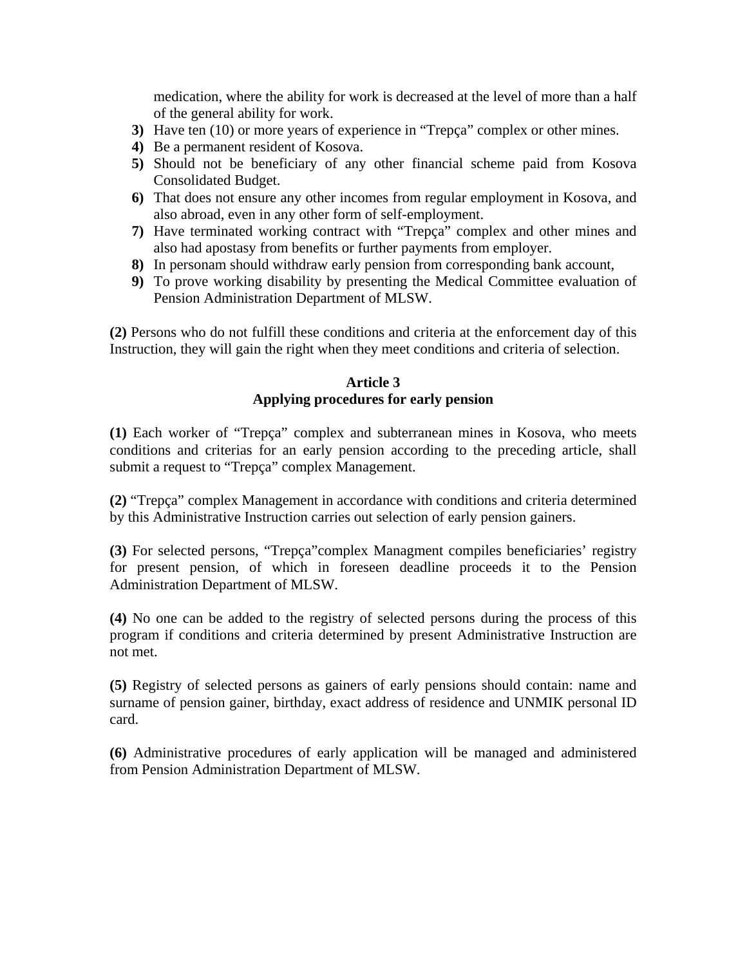medication, where the ability for work is decreased at the level of more than a half of the general ability for work.

- **3)** Have ten (10) or more years of experience in "Trepça" complex or other mines.
- **4)** Be a permanent resident of Kosova.
- **5)** Should not be beneficiary of any other financial scheme paid from Kosova Consolidated Budget.
- **6)** That does not ensure any other incomes from regular employment in Kosova, and also abroad, even in any other form of self-employment.
- **7)** Have terminated working contract with "Trepça" complex and other mines and also had apostasy from benefits or further payments from employer.
- **8)** In personam should withdraw early pension from corresponding bank account,
- **9)** To prove working disability by presenting the Medical Committee evaluation of Pension Administration Department of MLSW.

**(2)** Persons who do not fulfill these conditions and criteria at the enforcement day of this Instruction, they will gain the right when they meet conditions and criteria of selection.

# **Article 3 Applying procedures for early pension**

**(1)** Each worker of "Trepça" complex and subterranean mines in Kosova, who meets conditions and criterias for an early pension according to the preceding article, shall submit a request to "Trepça" complex Management.

**(2)** "Trepça" complex Management in accordance with conditions and criteria determined by this Administrative Instruction carries out selection of early pension gainers.

**(3)** For selected persons, "Trepça"complex Managment compiles beneficiaries' registry for present pension, of which in foreseen deadline proceeds it to the Pension Administration Department of MLSW.

**(4)** No one can be added to the registry of selected persons during the process of this program if conditions and criteria determined by present Administrative Instruction are not met.

**(5)** Registry of selected persons as gainers of early pensions should contain: name and surname of pension gainer, birthday, exact address of residence and UNMIK personal ID card.

**(6)** Administrative procedures of early application will be managed and administered from Pension Administration Department of MLSW.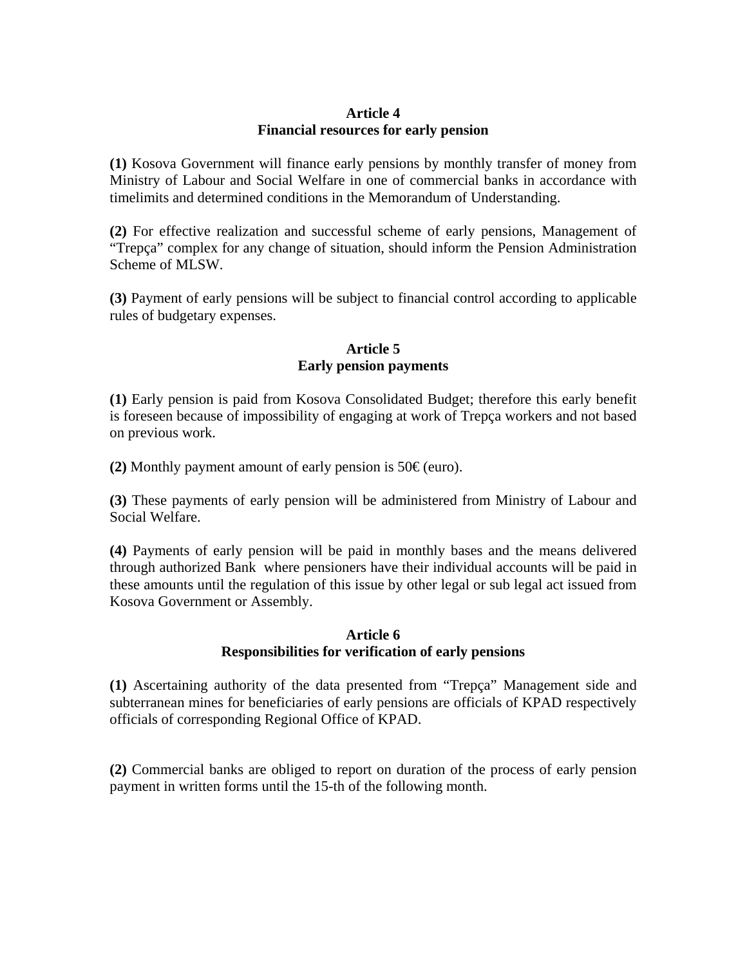## **Article 4 Financial resources for early pension**

**(1)** Kosova Government will finance early pensions by monthly transfer of money from Ministry of Labour and Social Welfare in one of commercial banks in accordance with timelimits and determined conditions in the Memorandum of Understanding.

**(2)** For effective realization and successful scheme of early pensions, Management of "Trepça" complex for any change of situation, should inform the Pension Administration Scheme of MLSW.

**(3)** Payment of early pensions will be subject to financial control according to applicable rules of budgetary expenses.

## **Article 5 Early pension payments**

**(1)** Early pension is paid from Kosova Consolidated Budget; therefore this early benefit is foreseen because of impossibility of engaging at work of Trepça workers and not based on previous work.

**(2)** Monthly payment amount of early pension is  $50 \in (euro)$ .

**(3)** These payments of early pension will be administered from Ministry of Labour and Social Welfare.

**(4)** Payments of early pension will be paid in monthly bases and the means delivered through authorized Bank where pensioners have their individual accounts will be paid in these amounts until the regulation of this issue by other legal or sub legal act issued from Kosova Government or Assembly.

#### **Article 6 Responsibilities for verification of early pensions**

**(1)** Ascertaining authority of the data presented from "Trepça" Management side and subterranean mines for beneficiaries of early pensions are officials of KPAD respectively officials of corresponding Regional Office of KPAD.

**(2)** Commercial banks are obliged to report on duration of the process of early pension payment in written forms until the 15-th of the following month.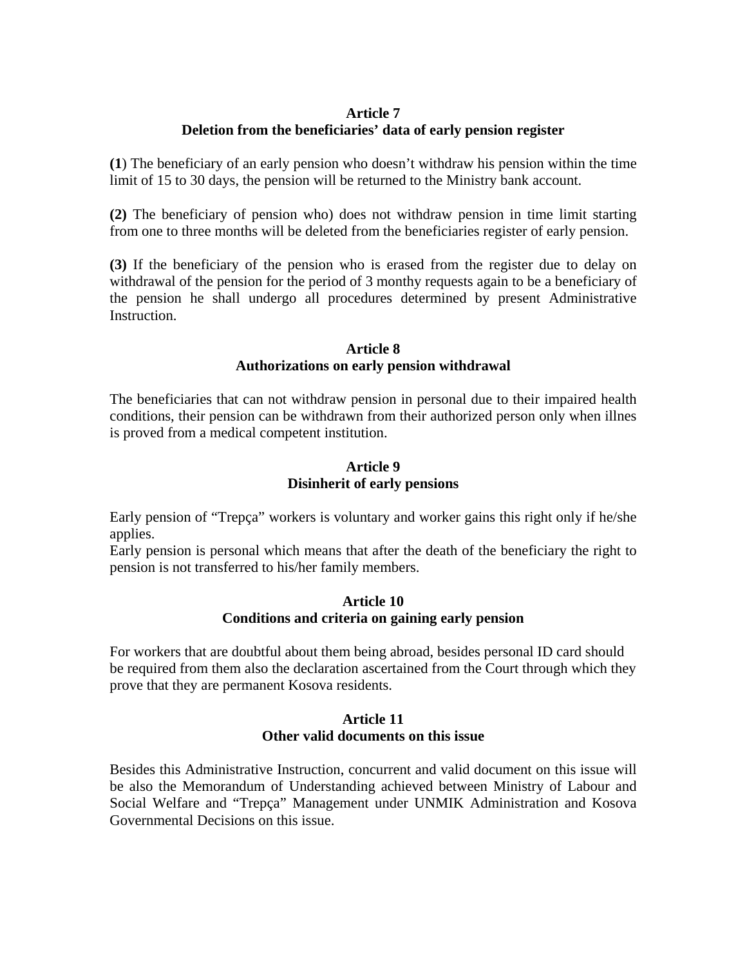#### **Article 7**

# **Deletion from the beneficiaries' data of early pension register**

**(1**) The beneficiary of an early pension who doesn't withdraw his pension within the time limit of 15 to 30 days, the pension will be returned to the Ministry bank account.

**(2)** The beneficiary of pension who) does not withdraw pension in time limit starting from one to three months will be deleted from the beneficiaries register of early pension.

**(3)** If the beneficiary of the pension who is erased from the register due to delay on withdrawal of the pension for the period of 3 monthy requests again to be a beneficiary of the pension he shall undergo all procedures determined by present Administrative Instruction.

#### **Article 8 Authorizations on early pension withdrawal**

The beneficiaries that can not withdraw pension in personal due to their impaired health conditions, their pension can be withdrawn from their authorized person only when illnes is proved from a medical competent institution.

## **Article 9 Disinherit of early pensions**

Early pension of "Trepça" workers is voluntary and worker gains this right only if he/she applies.

Early pension is personal which means that after the death of the beneficiary the right to pension is not transferred to his/her family members.

#### **Article 10 Conditions and criteria on gaining early pension**

For workers that are doubtful about them being abroad, besides personal ID card should be required from them also the declaration ascertained from the Court through which they prove that they are permanent Kosova residents.

#### **Article 11 Other valid documents on this issue**

Besides this Administrative Instruction, concurrent and valid document on this issue will be also the Memorandum of Understanding achieved between Ministry of Labour and Social Welfare and "Trepça" Management under UNMIK Administration and Kosova Governmental Decisions on this issue.